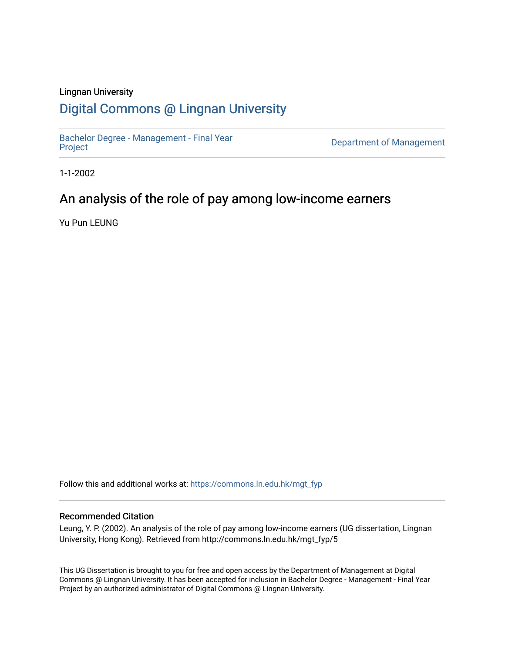## Lingnan University

## [Digital Commons @ Lingnan University](https://commons.ln.edu.hk/)

[Bachelor Degree - Management - Final Year](https://commons.ln.edu.hk/mgt_fyp)

Department of Management

1-1-2002

## An analysis of the role of pay among low-income earners

Yu Pun LEUNG

Follow this and additional works at: [https://commons.ln.edu.hk/mgt\\_fyp](https://commons.ln.edu.hk/mgt_fyp?utm_source=commons.ln.edu.hk%2Fmgt_fyp%2F5&utm_medium=PDF&utm_campaign=PDFCoverPages) 

#### Recommended Citation

Leung, Y. P. (2002). An analysis of the role of pay among low-income earners (UG dissertation, Lingnan University, Hong Kong). Retrieved from http://commons.ln.edu.hk/mgt\_fyp/5

This UG Dissertation is brought to you for free and open access by the Department of Management at Digital Commons @ Lingnan University. It has been accepted for inclusion in Bachelor Degree - Management - Final Year Project by an authorized administrator of Digital Commons @ Lingnan University.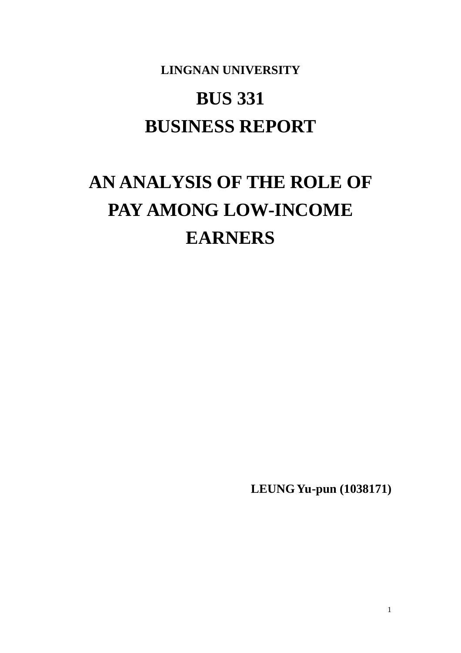# **LINGNAN UNIVERSITY BUS 331 BUSINESS REPORT**

# **AN ANALYSIS OF THE ROLE OF PAY AMONG LOW-INCOME EARNERS**

**LEUNG Yu-pun (1038171)**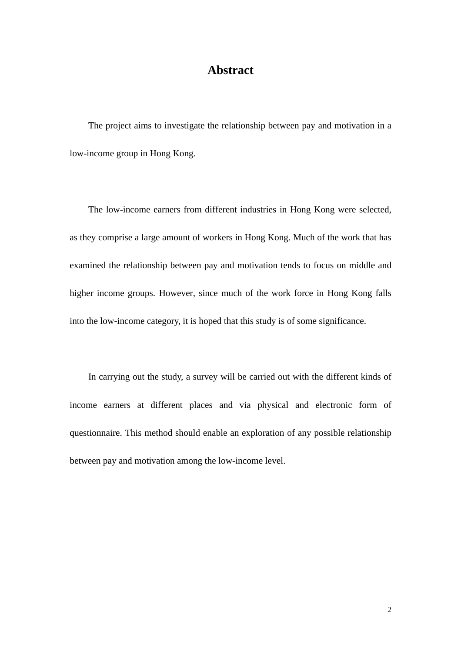## **Abstract**

The project aims to investigate the relationship between pay and motivation in a low-income group in Hong Kong.

The low-income earners from different industries in Hong Kong were selected, as they comprise a large amount of workers in Hong Kong. Much of the work that has examined the relationship between pay and motivation tends to focus on middle and higher income groups. However, since much of the work force in Hong Kong falls into the low-income category, it is hoped that this study is of some significance.

In carrying out the study, a survey will be carried out with the different kinds of income earners at different places and via physical and electronic form of questionnaire. This method should enable an exploration of any possible relationship between pay and motivation among the low-income level.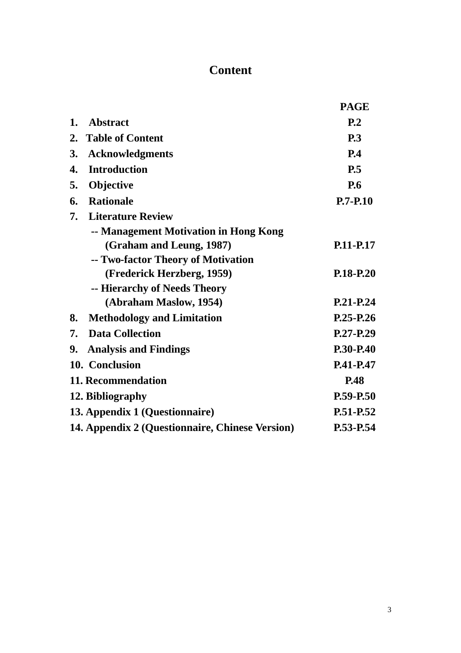# **Content**

|    |                                                 | <b>PAGE</b>    |
|----|-------------------------------------------------|----------------|
| 1. | <b>Abstract</b>                                 | P <sub>2</sub> |
| 2. | <b>Table of Content</b>                         | <b>P.3</b>     |
| 3. | <b>Acknowledgments</b>                          | P.4            |
| 4. | <b>Introduction</b>                             | P.5            |
| 5. | Objective                                       | <b>P.6</b>     |
| 6. | <b>Rationale</b>                                | $P.7 - P.10$   |
| 7. | <b>Literature Review</b>                        |                |
|    | -- Management Motivation in Hong Kong           |                |
|    | (Graham and Leung, 1987)                        | P.11-P.17      |
|    | -- Two-factor Theory of Motivation              |                |
|    | (Frederick Herzberg, 1959)                      | P.18-P.20      |
|    | -- Hierarchy of Needs Theory                    |                |
|    | (Abraham Maslow, 1954)                          | P.21-P.24      |
| 8. | <b>Methodology and Limitation</b>               | P.25-P.26      |
| 7. | <b>Data Collection</b>                          | $P.27-P.29$    |
| 9. | <b>Analysis and Findings</b>                    | P.30-P.40      |
|    | 10. Conclusion                                  | P.41-P.47      |
|    | 11. Recommendation                              | <b>P.48</b>    |
|    | 12. Bibliography                                | P.59-P.50      |
|    | 13. Appendix 1 (Questionnaire)                  | P.51-P.52      |
|    | 14. Appendix 2 (Questionnaire, Chinese Version) | P.53-P.54      |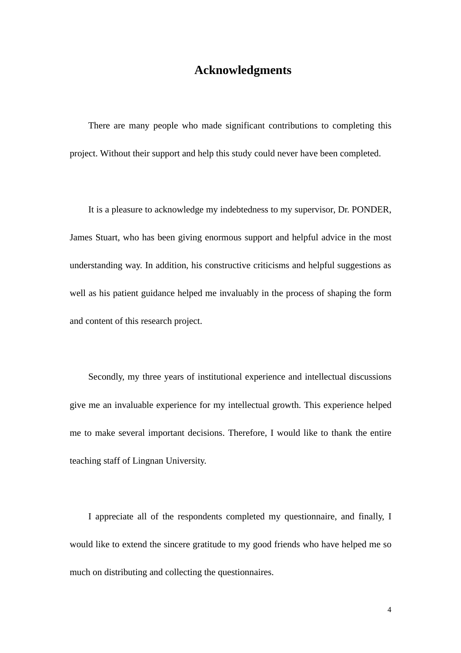## **Acknowledgments**

There are many people who made significant contributions to completing this project. Without their support and help this study could never have been completed.

It is a pleasure to acknowledge my indebtedness to my supervisor, Dr. PONDER, James Stuart, who has been giving enormous support and helpful advice in the most understanding way. In addition, his constructive criticisms and helpful suggestions as well as his patient guidance helped me invaluably in the process of shaping the form and content of this research project.

Secondly, my three years of institutional experience and intellectual discussions give me an invaluable experience for my intellectual growth. This experience helped me to make several important decisions. Therefore, I would like to thank the entire teaching staff of Lingnan University.

I appreciate all of the respondents completed my questionnaire, and finally, I would like to extend the sincere gratitude to my good friends who have helped me so much on distributing and collecting the questionnaires.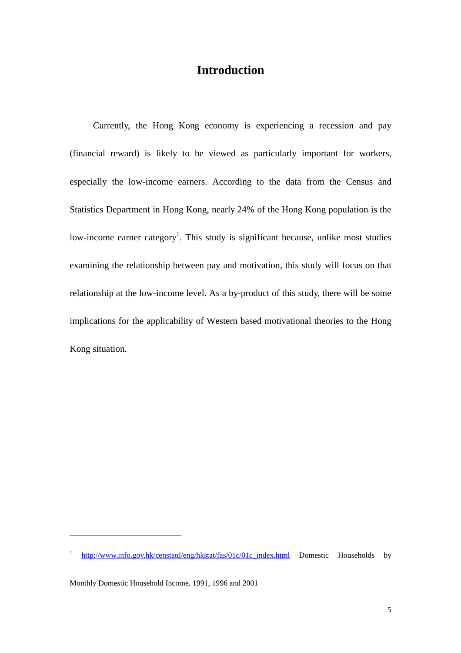## **Introduction**

 Currently, the Hong Kong economy is experiencing a recession and pay (financial reward) is likely to be viewed as particularly important for workers, especially the low-income earners. According to the data from the Census and Statistics Department in Hong Kong, nearly 24% of the Hong Kong population is the low-income earner category<sup>1</sup>. This study is significant because, unlike most studies examining the relationship between pay and motivation, this study will focus on that relationship at the low-income level. As a by-product of this study, there will be some implications for the applicability of Western based motivational theories to the Hong Kong situation.

 $\overline{a}$ 

<sup>1</sup> http://www.info.gov.hk/censtatd/eng/hkstat/fas/01c/01c\_index.html Domestic Households by

Monthly Domestic Household Income, 1991, 1996 and 2001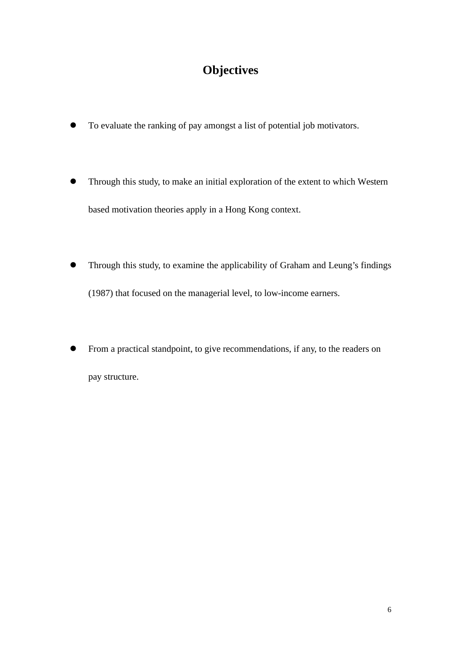# **Objectives**

- To evaluate the ranking of pay amongst a list of potential job motivators.
- l Through this study, to make an initial exploration of the extent to which Western based motivation theories apply in a Hong Kong context.
- Through this study, to examine the applicability of Graham and Leung's findings (1987) that focused on the managerial level, to low-income earners.
- From a practical standpoint, to give recommendations, if any, to the readers on pay structure.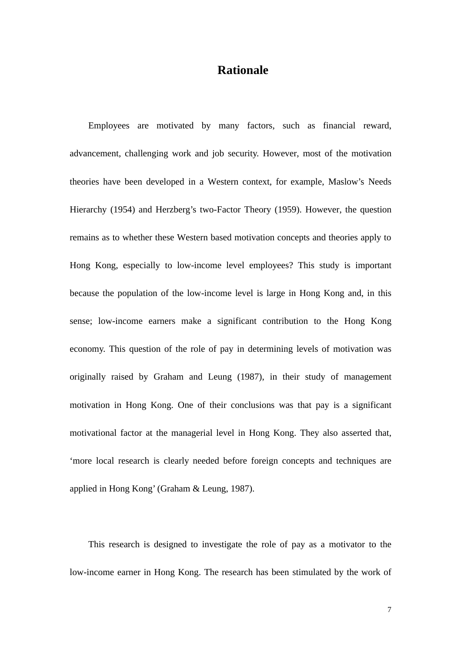## **Rationale**

Employees are motivated by many factors, such as financial reward, advancement, challenging work and job security. However, most of the motivation theories have been developed in a Western context, for example, Maslow's Needs Hierarchy (1954) and Herzberg's two-Factor Theory (1959). However, the question remains as to whether these Western based motivation concepts and theories apply to Hong Kong, especially to low-income level employees? This study is important because the population of the low-income level is large in Hong Kong and, in this sense; low-income earners make a significant contribution to the Hong Kong economy. This question of the role of pay in determining levels of motivation was originally raised by Graham and Leung (1987), in their study of management motivation in Hong Kong. One of their conclusions was that pay is a significant motivational factor at the managerial level in Hong Kong. They also asserted that, 'more local research is clearly needed before foreign concepts and techniques are applied in Hong Kong' (Graham & Leung, 1987).

This research is designed to investigate the role of pay as a motivator to the low-income earner in Hong Kong. The research has been stimulated by the work of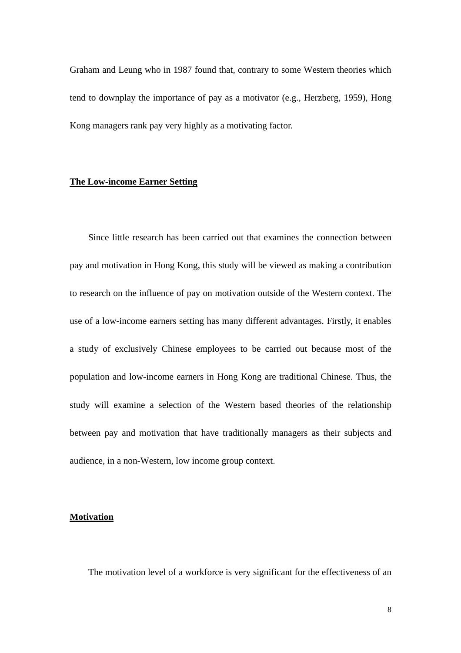Graham and Leung who in 1987 found that, contrary to some Western theories which tend to downplay the importance of pay as a motivator (e.g., Herzberg, 1959), Hong Kong managers rank pay very highly as a motivating factor.

## **The Low-income Earner Setting**

Since little research has been carried out that examines the connection between pay and motivation in Hong Kong, this study will be viewed as making a contribution to research on the influence of pay on motivation outside of the Western context. The use of a low-income earners setting has many different advantages. Firstly, it enables a study of exclusively Chinese employees to be carried out because most of the population and low-income earners in Hong Kong are traditional Chinese. Thus, the study will examine a selection of the Western based theories of the relationship between pay and motivation that have traditionally managers as their subjects and audience, in a non-Western, low income group context.

#### **Motivation**

The motivation level of a workforce is very significant for the effectiveness of an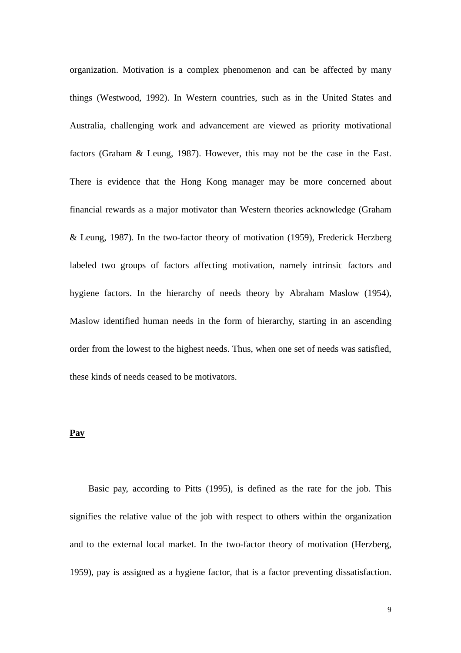organization. Motivation is a complex phenomenon and can be affected by many things (Westwood, 1992). In Western countries, such as in the United States and Australia, challenging work and advancement are viewed as priority motivational factors (Graham & Leung, 1987). However, this may not be the case in the East. There is evidence that the Hong Kong manager may be more concerned about financial rewards as a major motivator than Western theories acknowledge (Graham & Leung, 1987). In the two-factor theory of motivation (1959), Frederick Herzberg labeled two groups of factors affecting motivation, namely intrinsic factors and hygiene factors. In the hierarchy of needs theory by Abraham Maslow (1954), Maslow identified human needs in the form of hierarchy, starting in an ascending order from the lowest to the highest needs. Thus, when one set of needs was satisfied, these kinds of needs ceased to be motivators.

#### **Pay**

Basic pay, according to Pitts (1995), is defined as the rate for the job. This signifies the relative value of the job with respect to others within the organization and to the external local market. In the two-factor theory of motivation (Herzberg, 1959), pay is assigned as a hygiene factor, that is a factor preventing dissatisfaction.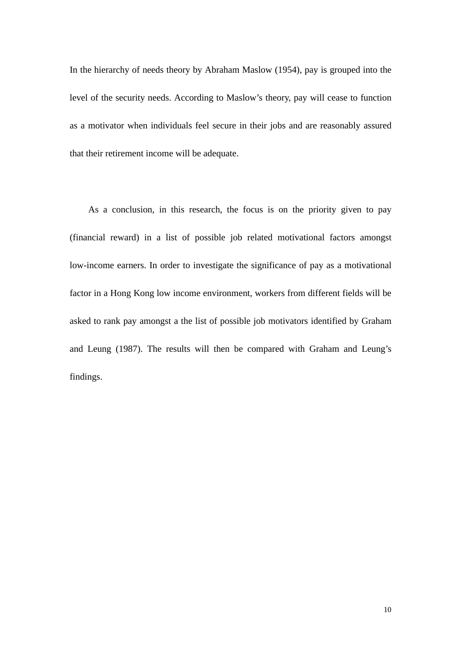In the hierarchy of needs theory by Abraham Maslow (1954), pay is grouped into the level of the security needs. According to Maslow's theory, pay will cease to function as a motivator when individuals feel secure in their jobs and are reasonably assured that their retirement income will be adequate.

As a conclusion, in this research, the focus is on the priority given to pay (financial reward) in a list of possible job related motivational factors amongst low-income earners. In order to investigate the significance of pay as a motivational factor in a Hong Kong low income environment, workers from different fields will be asked to rank pay amongst a the list of possible job motivators identified by Graham and Leung (1987). The results will then be compared with Graham and Leung's findings.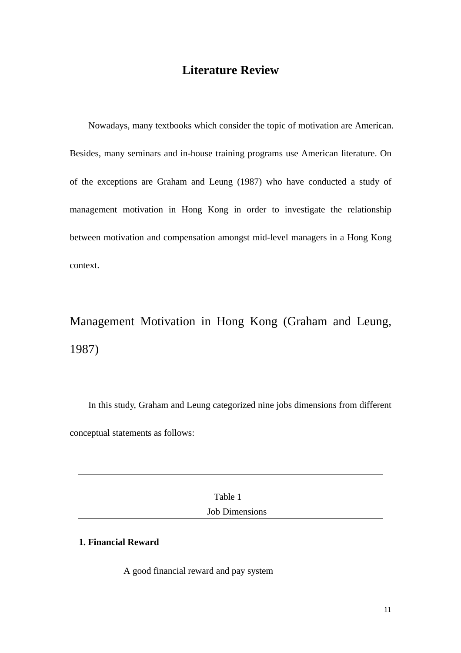## **Literature Review**

Nowadays, many textbooks which consider the topic of motivation are American. Besides, many seminars and in-house training programs use American literature. On of the exceptions are Graham and Leung (1987) who have conducted a study of management motivation in Hong Kong in order to investigate the relationship between motivation and compensation amongst mid-level managers in a Hong Kong context.

# Management Motivation in Hong Kong (Graham and Leung, 1987)

In this study, Graham and Leung categorized nine jobs dimensions from different conceptual statements as follows:

| Table 1                                                       |  |  |  |  |  |  |  |  |  |
|---------------------------------------------------------------|--|--|--|--|--|--|--|--|--|
| <b>Job Dimensions</b>                                         |  |  |  |  |  |  |  |  |  |
| 1. Financial Reward<br>A good financial reward and pay system |  |  |  |  |  |  |  |  |  |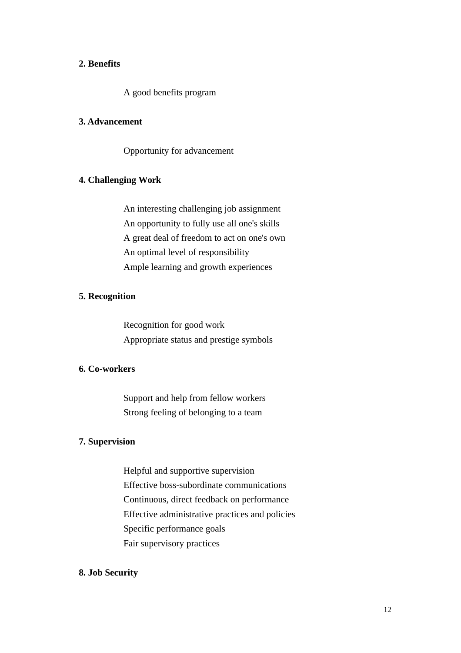## **2. Benefits**

A good benefits program

## **3. Advancement**

Opportunity for advancement

## **4. Challenging Work**

An interesting challenging job assignment An opportunity to fully use all one's skills A great deal of freedom to act on one's own An optimal level of responsibility Ample learning and growth experiences

## **5. Recognition**

Recognition for good work Appropriate status and prestige symbols

## **6. Co-workers**

Support and help from fellow workers Strong feeling of belonging to a team

## **7. Supervision**

Helpful and supportive supervision Effective boss-subordinate communications Continuous, direct feedback on performance Effective administrative practices and policies Specific performance goals Fair supervisory practices

## **8. Job Security**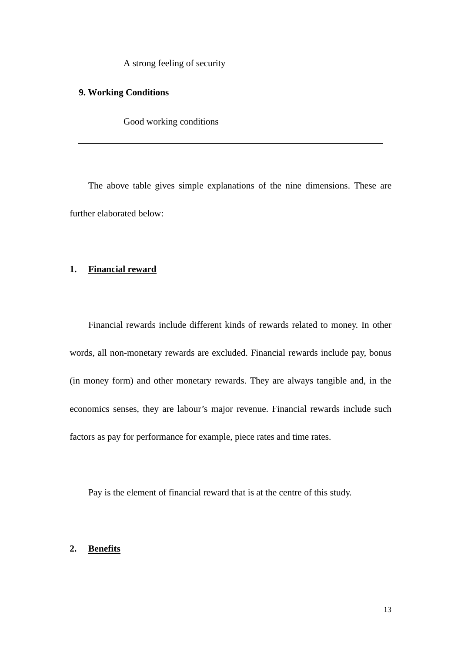A strong feeling of security

## **9. Working Conditions**

Good working conditions

The above table gives simple explanations of the nine dimensions. These are further elaborated below:

## **1. Financial reward**

Financial rewards include different kinds of rewards related to money. In other words, all non-monetary rewards are excluded. Financial rewards include pay, bonus (in money form) and other monetary rewards. They are always tangible and, in the economics senses, they are labour's major revenue. Financial rewards include such factors as pay for performance for example, piece rates and time rates.

Pay is the element of financial reward that is at the centre of this study.

#### **2. Benefits**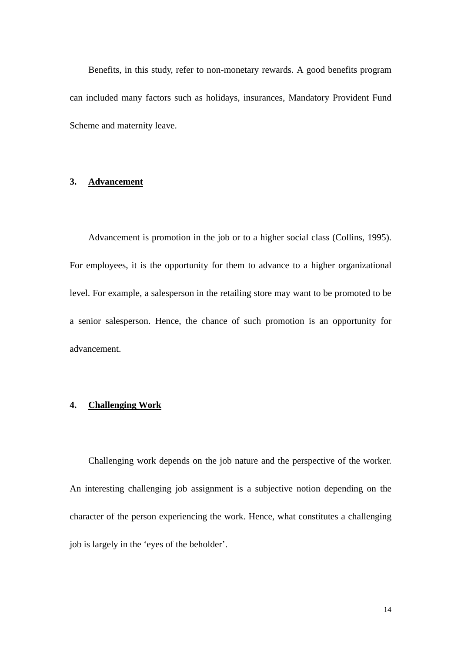Benefits, in this study, refer to non-monetary rewards. A good benefits program can included many factors such as holidays, insurances, Mandatory Provident Fund Scheme and maternity leave.

## **3. Advancement**

Advancement is promotion in the job or to a higher social class (Collins, 1995). For employees, it is the opportunity for them to advance to a higher organizational level. For example, a salesperson in the retailing store may want to be promoted to be a senior salesperson. Hence, the chance of such promotion is an opportunity for advancement.

## **4. Challenging Work**

Challenging work depends on the job nature and the perspective of the worker. An interesting challenging job assignment is a subjective notion depending on the character of the person experiencing the work. Hence, what constitutes a challenging job is largely in the 'eyes of the beholder'.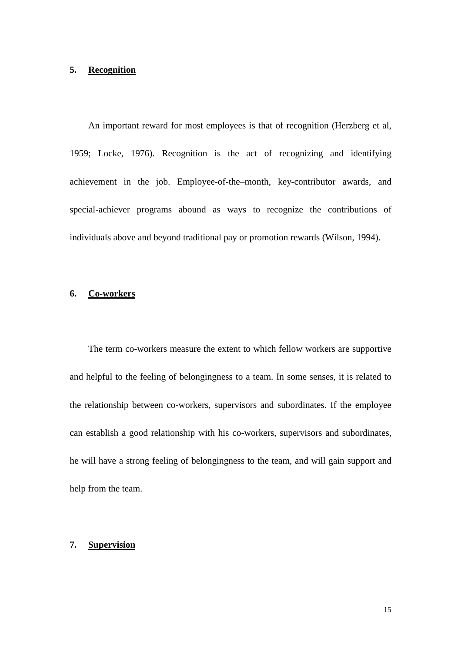## **5. Recognition**

An important reward for most employees is that of recognition (Herzberg et al, 1959; Locke, 1976). Recognition is the act of recognizing and identifying achievement in the job. Employee-of-the–month, key-contributor awards, and special-achiever programs abound as ways to recognize the contributions of individuals above and beyond traditional pay or promotion rewards (Wilson, 1994).

## **6. Co-workers**

The term co-workers measure the extent to which fellow workers are supportive and helpful to the feeling of belongingness to a team. In some senses, it is related to the relationship between co-workers, supervisors and subordinates. If the employee can establish a good relationship with his co-workers, supervisors and subordinates, he will have a strong feeling of belongingness to the team, and will gain support and help from the team.

## **7. Supervision**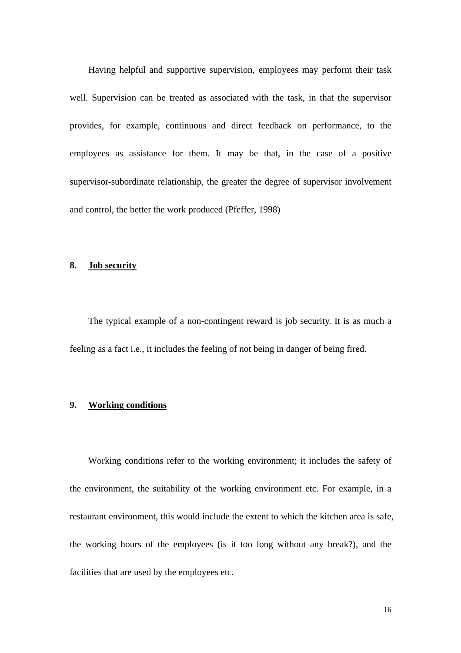Having helpful and supportive supervision, employees may perform their task well. Supervision can be treated as associated with the task, in that the supervisor provides, for example, continuous and direct feedback on performance, to the employees as assistance for them. It may be that, in the case of a positive supervisor-subordinate relationship, the greater the degree of supervisor involvement and control, the better the work produced (Pfeffer, 1998)

#### **8. Job security**

The typical example of a non-contingent reward is job security. It is as much a feeling as a fact i.e., it includes the feeling of not being in danger of being fired.

## **9. Working conditions**

Working conditions refer to the working environment; it includes the safety of the environment, the suitability of the working environment etc. For example, in a restaurant environment, this would include the extent to which the kitchen area is safe, the working hours of the employees (is it too long without any break?), and the facilities that are used by the employees etc.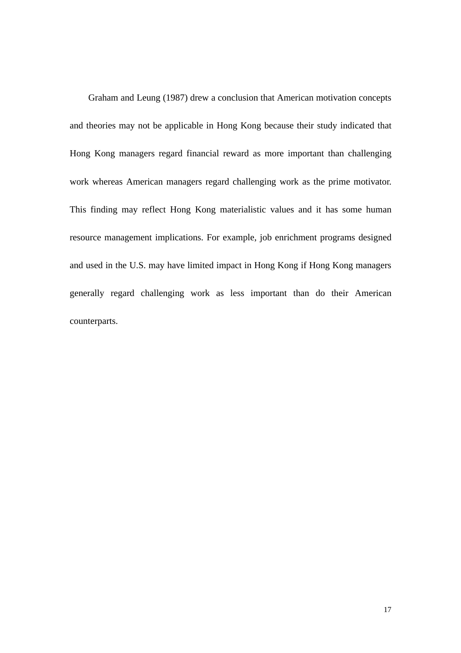Graham and Leung (1987) drew a conclusion that American motivation concepts and theories may not be applicable in Hong Kong because their study indicated that Hong Kong managers regard financial reward as more important than challenging work whereas American managers regard challenging work as the prime motivator. This finding may reflect Hong Kong materialistic values and it has some human resource management implications. For example, job enrichment programs designed and used in the U.S. may have limited impact in Hong Kong if Hong Kong managers generally regard challenging work as less important than do their American counterparts.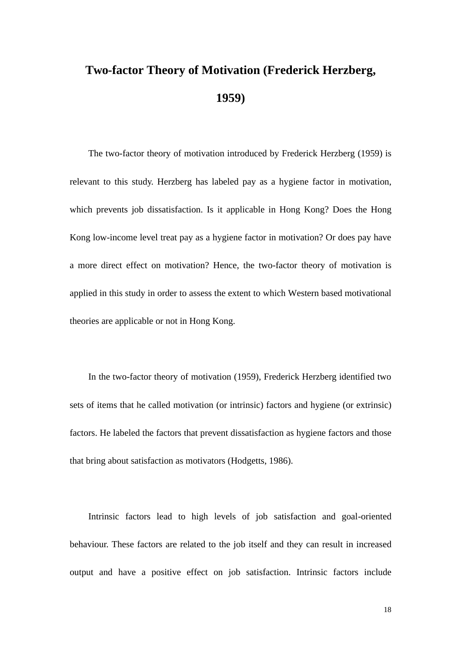# **Two-factor Theory of Motivation (Frederick Herzberg, 1959)**

The two-factor theory of motivation introduced by Frederick Herzberg (1959) is relevant to this study. Herzberg has labeled pay as a hygiene factor in motivation, which prevents job dissatisfaction. Is it applicable in Hong Kong? Does the Hong Kong low-income level treat pay as a hygiene factor in motivation? Or does pay have a more direct effect on motivation? Hence, the two-factor theory of motivation is applied in this study in order to assess the extent to which Western based motivational theories are applicable or not in Hong Kong.

In the two-factor theory of motivation (1959), Frederick Herzberg identified two sets of items that he called motivation (or intrinsic) factors and hygiene (or extrinsic) factors. He labeled the factors that prevent dissatisfaction as hygiene factors and those that bring about satisfaction as motivators (Hodgetts, 1986).

Intrinsic factors lead to high levels of job satisfaction and goal-oriented behaviour. These factors are related to the job itself and they can result in increased output and have a positive effect on job satisfaction. Intrinsic factors include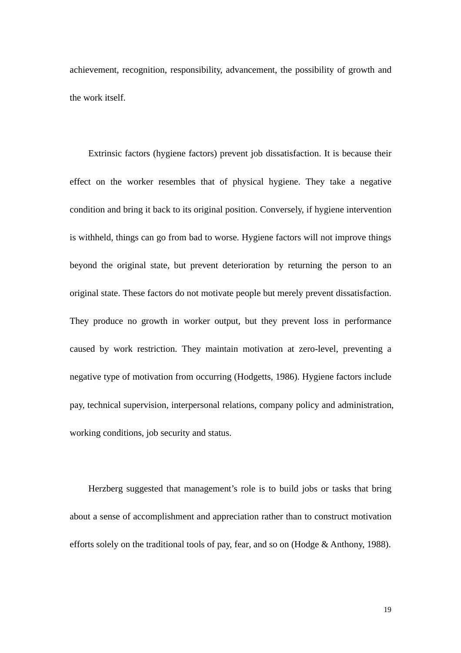achievement, recognition, responsibility, advancement, the possibility of growth and the work itself.

Extrinsic factors (hygiene factors) prevent job dissatisfaction. It is because their effect on the worker resembles that of physical hygiene. They take a negative condition and bring it back to its original position. Conversely, if hygiene intervention is withheld, things can go from bad to worse. Hygiene factors will not improve things beyond the original state, but prevent deterioration by returning the person to an original state. These factors do not motivate people but merely prevent dissatisfaction. They produce no growth in worker output, but they prevent loss in performance caused by work restriction. They maintain motivation at zero-level, preventing a negative type of motivation from occurring (Hodgetts, 1986). Hygiene factors include pay, technical supervision, interpersonal relations, company policy and administration, working conditions, job security and status.

Herzberg suggested that management's role is to build jobs or tasks that bring about a sense of accomplishment and appreciation rather than to construct motivation efforts solely on the traditional tools of pay, fear, and so on (Hodge & Anthony, 1988).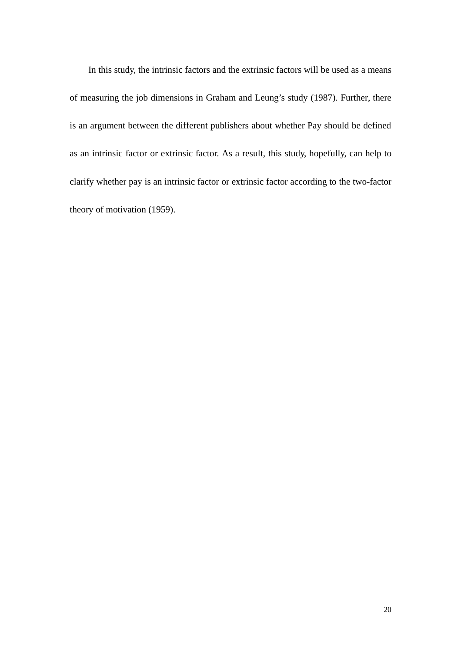In this study, the intrinsic factors and the extrinsic factors will be used as a means of measuring the job dimensions in Graham and Leung's study (1987). Further, there is an argument between the different publishers about whether Pay should be defined as an intrinsic factor or extrinsic factor. As a result, this study, hopefully, can help to clarify whether pay is an intrinsic factor or extrinsic factor according to the two-factor theory of motivation (1959).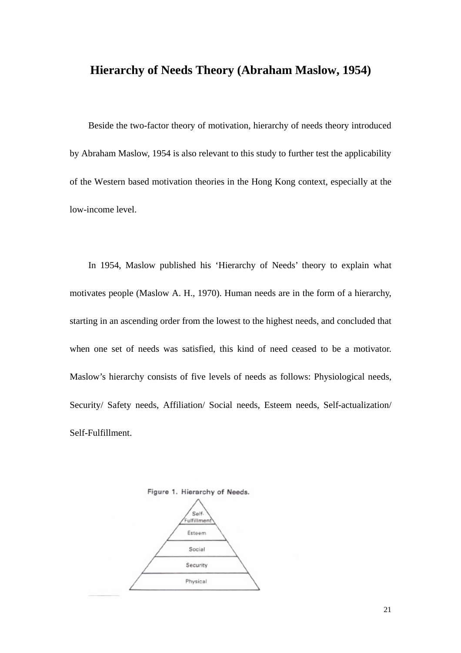## **Hierarchy of Needs Theory (Abraham Maslow, 1954)**

Beside the two-factor theory of motivation, hierarchy of needs theory introduced by Abraham Maslow, 1954 is also relevant to this study to further test the applicability of the Western based motivation theories in the Hong Kong context, especially at the low-income level.

In 1954, Maslow published his 'Hierarchy of Needs' theory to explain what motivates people (Maslow A. H., 1970). Human needs are in the form of a hierarchy, starting in an ascending order from the lowest to the highest needs, and concluded that when one set of needs was satisfied, this kind of need ceased to be a motivator. Maslow's hierarchy consists of five levels of needs as follows: Physiological needs, Security/ Safety needs, Affiliation/ Social needs, Esteem needs, Self-actualization/ Self-Fulfillment.

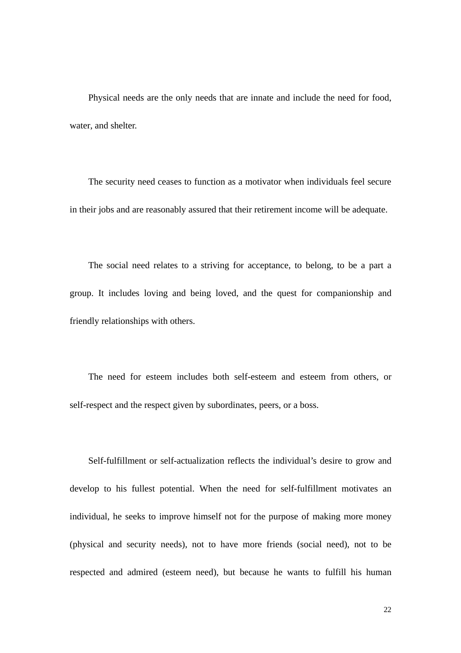Physical needs are the only needs that are innate and include the need for food, water, and shelter.

The security need ceases to function as a motivator when individuals feel secure in their jobs and are reasonably assured that their retirement income will be adequate.

The social need relates to a striving for acceptance, to belong, to be a part a group. It includes loving and being loved, and the quest for companionship and friendly relationships with others.

The need for esteem includes both self-esteem and esteem from others, or self-respect and the respect given by subordinates, peers, or a boss.

Self-fulfillment or self-actualization reflects the individual's desire to grow and develop to his fullest potential. When the need for self-fulfillment motivates an individual, he seeks to improve himself not for the purpose of making more money (physical and security needs), not to have more friends (social need), not to be respected and admired (esteem need), but because he wants to fulfill his human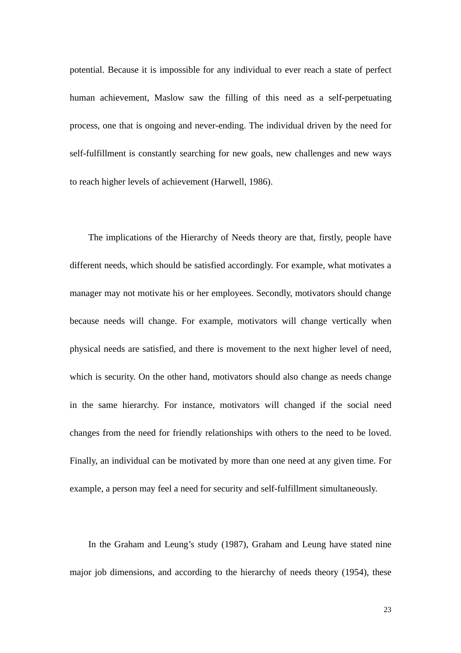potential. Because it is impossible for any individual to ever reach a state of perfect human achievement, Maslow saw the filling of this need as a self-perpetuating process, one that is ongoing and never-ending. The individual driven by the need for self-fulfillment is constantly searching for new goals, new challenges and new ways to reach higher levels of achievement (Harwell, 1986).

The implications of the Hierarchy of Needs theory are that, firstly, people have different needs, which should be satisfied accordingly. For example, what motivates a manager may not motivate his or her employees. Secondly, motivators should change because needs will change. For example, motivators will change vertically when physical needs are satisfied, and there is movement to the next higher level of need, which is security. On the other hand, motivators should also change as needs change in the same hierarchy. For instance, motivators will changed if the social need changes from the need for friendly relationships with others to the need to be loved. Finally, an individual can be motivated by more than one need at any given time. For example, a person may feel a need for security and self-fulfillment simultaneously.

In the Graham and Leung's study (1987), Graham and Leung have stated nine major job dimensions, and according to the hierarchy of needs theory (1954), these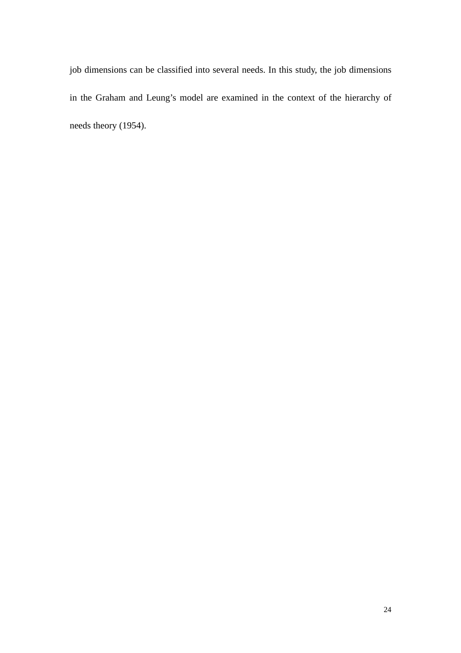job dimensions can be classified into several needs. In this study, the job dimensions in the Graham and Leung's model are examined in the context of the hierarchy of needs theory (1954).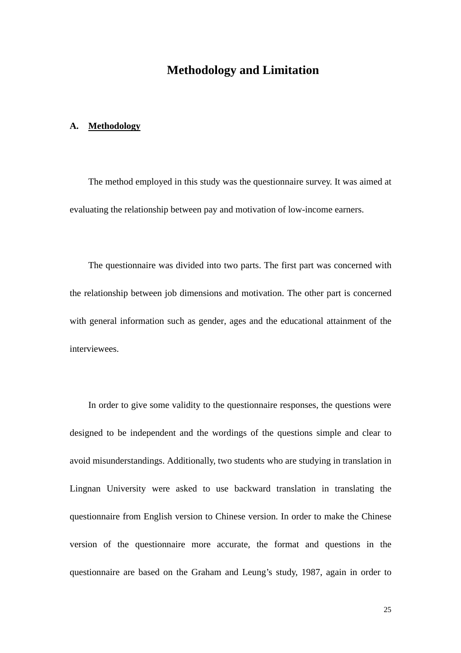## **Methodology and Limitation**

#### **A. Methodology**

The method employed in this study was the questionnaire survey. It was aimed at evaluating the relationship between pay and motivation of low-income earners.

The questionnaire was divided into two parts. The first part was concerned with the relationship between job dimensions and motivation. The other part is concerned with general information such as gender, ages and the educational attainment of the interviewees.

In order to give some validity to the questionnaire responses, the questions were designed to be independent and the wordings of the questions simple and clear to avoid misunderstandings. Additionally, two students who are studying in translation in Lingnan University were asked to use backward translation in translating the questionnaire from English version to Chinese version. In order to make the Chinese version of the questionnaire more accurate, the format and questions in the questionnaire are based on the Graham and Leung's study, 1987, again in order to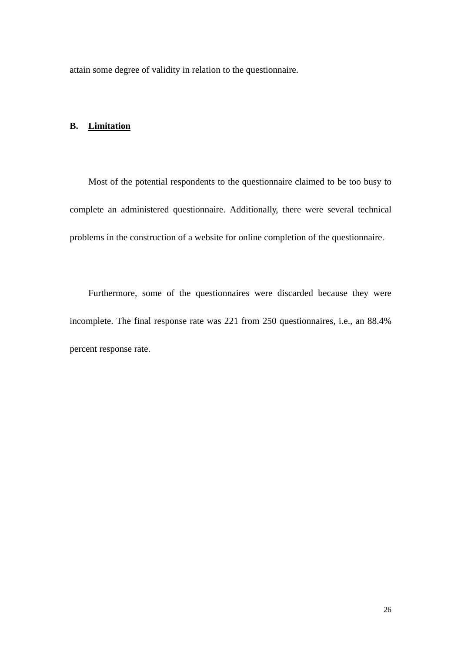attain some degree of validity in relation to the questionnaire.

## **B. Limitation**

Most of the potential respondents to the questionnaire claimed to be too busy to complete an administered questionnaire. Additionally, there were several technical problems in the construction of a website for online completion of the questionnaire.

Furthermore, some of the questionnaires were discarded because they were incomplete. The final response rate was 221 from 250 questionnaires, i.e., an 88.4% percent response rate.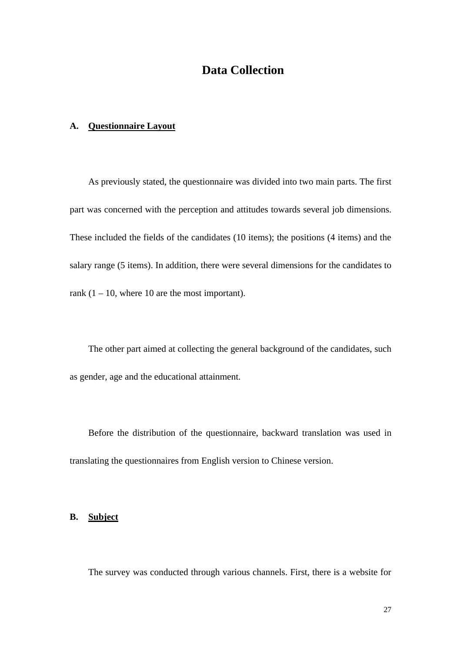## **Data Collection**

## **A. Questionnaire Layout**

As previously stated, the questionnaire was divided into two main parts. The first part was concerned with the perception and attitudes towards several job dimensions. These included the fields of the candidates (10 items); the positions (4 items) and the salary range (5 items). In addition, there were several dimensions for the candidates to rank  $(1 - 10)$ , where 10 are the most important).

The other part aimed at collecting the general background of the candidates, such as gender, age and the educational attainment.

Before the distribution of the questionnaire, backward translation was used in translating the questionnaires from English version to Chinese version.

### **B. Subject**

The survey was conducted through various channels. First, there is a website for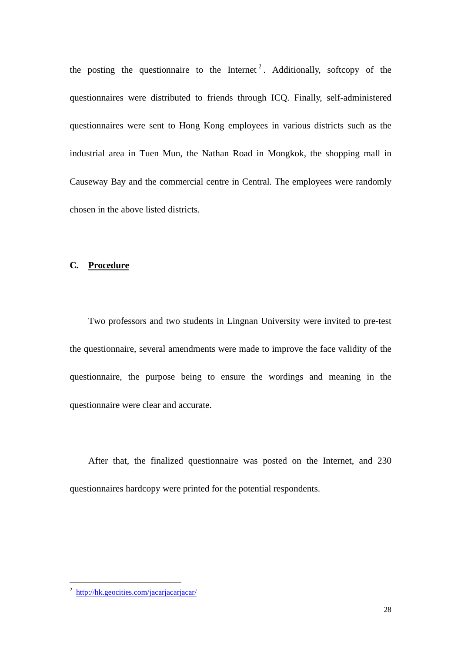the posting the questionnaire to the Internet<sup>2</sup>. Additionally, softcopy of the questionnaires were distributed to friends through ICQ. Finally, self-administered questionnaires were sent to Hong Kong employees in various districts such as the industrial area in Tuen Mun, the Nathan Road in Mongkok, the shopping mall in Causeway Bay and the commercial centre in Central. The employees were randomly chosen in the above listed districts.

#### **C. Procedure**

Two professors and two students in Lingnan University were invited to pre-test the questionnaire, several amendments were made to improve the face validity of the questionnaire, the purpose being to ensure the wordings and meaning in the questionnaire were clear and accurate.

After that, the finalized questionnaire was posted on the Internet, and 230 questionnaires hardcopy were printed for the potential respondents.

 $\overline{a}$ 

<sup>&</sup>lt;sup>2</sup> http://hk.geocities.com/jacarjacarjacar/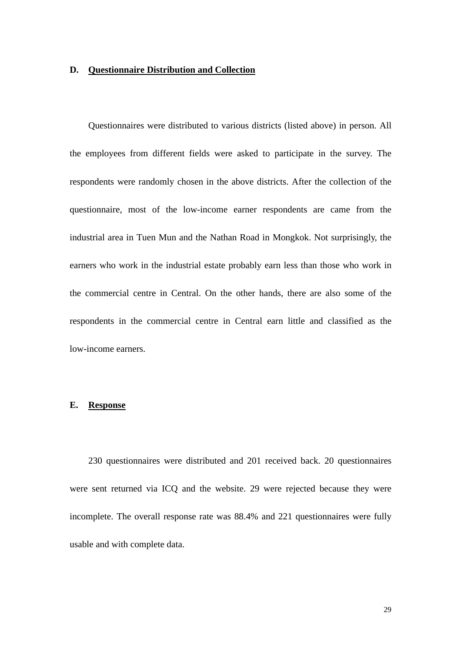#### **D. Questionnaire Distribution and Collection**

Questionnaires were distributed to various districts (listed above) in person. All the employees from different fields were asked to participate in the survey. The respondents were randomly chosen in the above districts. After the collection of the questionnaire, most of the low-income earner respondents are came from the industrial area in Tuen Mun and the Nathan Road in Mongkok. Not surprisingly, the earners who work in the industrial estate probably earn less than those who work in the commercial centre in Central. On the other hands, there are also some of the respondents in the commercial centre in Central earn little and classified as the low-income earners.

#### **E. Response**

230 questionnaires were distributed and 201 received back. 20 questionnaires were sent returned via ICQ and the website. 29 were rejected because they were incomplete. The overall response rate was 88.4% and 221 questionnaires were fully usable and with complete data.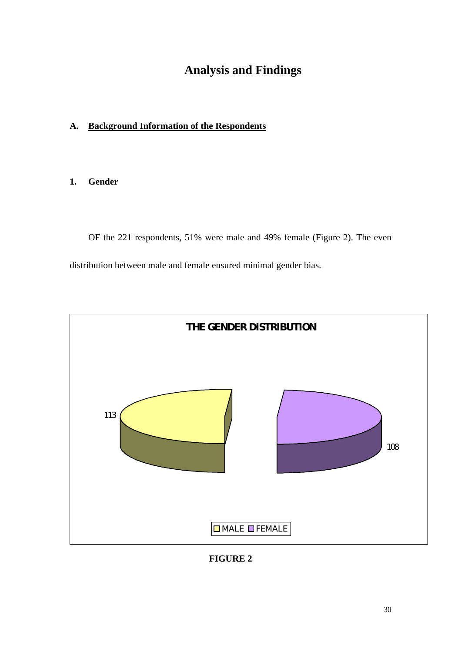## **Analysis and Findings**

## **A. Background Information of the Respondents**

## **1. Gender**

OF the 221 respondents, 51% were male and 49% female (Figure 2). The even distribution between male and female ensured minimal gender bias.



**FIGURE 2**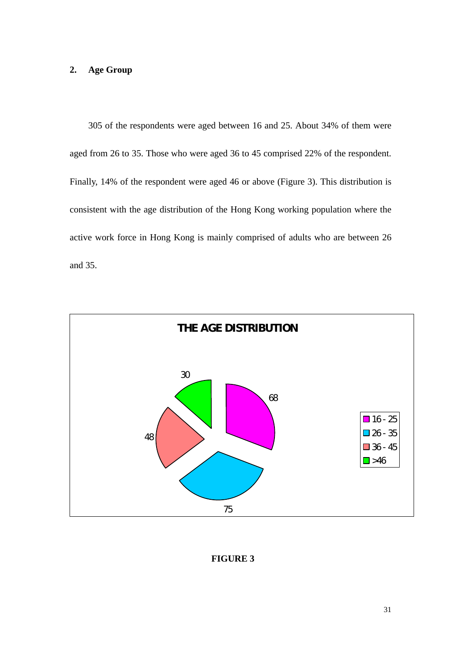## **2. Age Group**

305 of the respondents were aged between 16 and 25. About 34% of them were aged from 26 to 35. Those who were aged 36 to 45 comprised 22% of the respondent. Finally, 14% of the respondent were aged 46 or above (Figure 3). This distribution is consistent with the age distribution of the Hong Kong working population where the active work force in Hong Kong is mainly comprised of adults who are between 26 and 35.



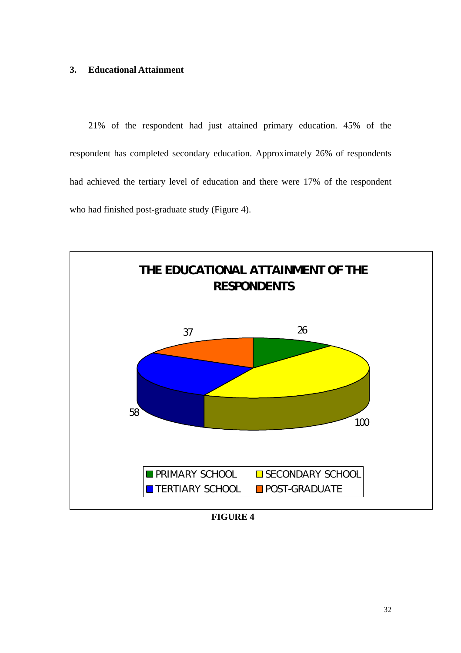#### **3. Educational Attainment**

21% of the respondent had just attained primary education. 45% of the respondent has completed secondary education. Approximately 26% of respondents had achieved the tertiary level of education and there were 17% of the respondent who had finished post-graduate study (Figure 4).



 **FIGURE 4**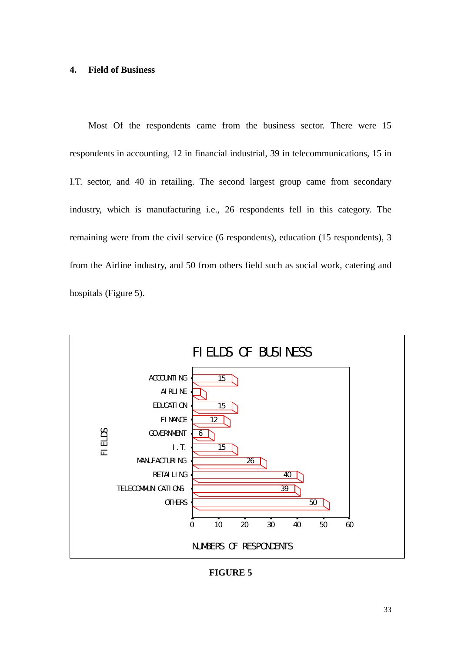#### **4. Field of Business**

Most Of the respondents came from the business sector. There were 15 respondents in accounting, 12 in financial industrial, 39 in telecommunications, 15 in I.T. sector, and 40 in retailing. The second largest group came from secondary industry, which is manufacturing i.e., 26 respondents fell in this category. The remaining were from the civil service (6 respondents), education (15 respondents), 3 from the Airline industry, and 50 from others field such as social work, catering and hospitals (Figure 5).



**FIGURE 5**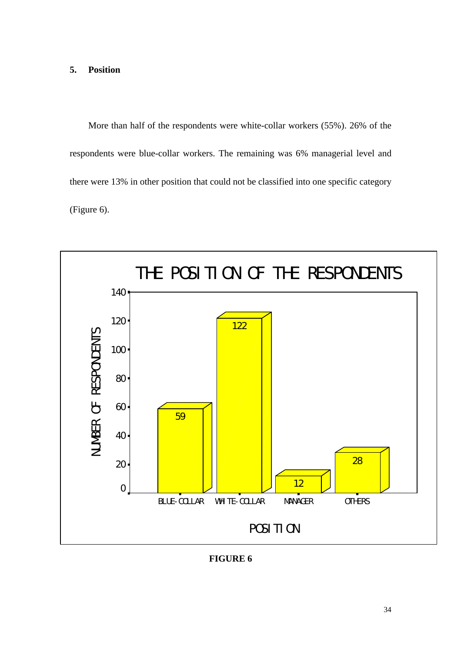#### **5. Position**

More than half of the respondents were white-collar workers (55%). 26% of the respondents were blue-collar workers. The remaining was 6% managerial level and there were 13% in other position that could not be classified into one specific category (Figure 6).



**FIGURE 6**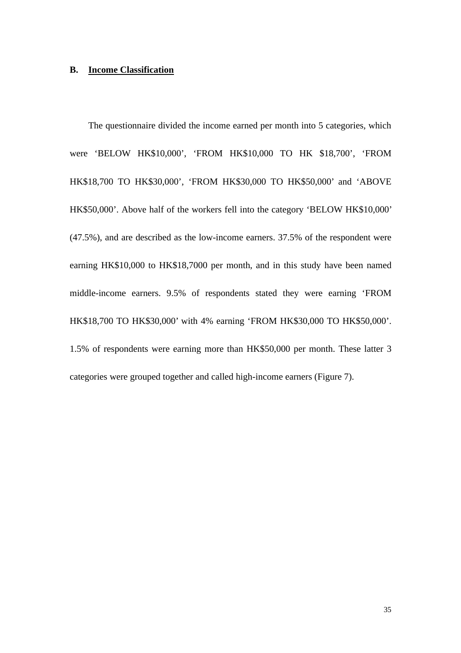#### **B. Income Classification**

The questionnaire divided the income earned per month into 5 categories, which were 'BELOW HK\$10,000', 'FROM HK\$10,000 TO HK \$18,700', 'FROM HK\$18,700 TO HK\$30,000', 'FROM HK\$30,000 TO HK\$50,000' and 'ABOVE HK\$50,000'. Above half of the workers fell into the category 'BELOW HK\$10,000' (47.5%), and are described as the low-income earners. 37.5% of the respondent were earning HK\$10,000 to HK\$18,7000 per month, and in this study have been named middle-income earners. 9.5% of respondents stated they were earning 'FROM HK\$18,700 TO HK\$30,000' with 4% earning 'FROM HK\$30,000 TO HK\$50,000'. 1.5% of respondents were earning more than HK\$50,000 per month. These latter 3 categories were grouped together and called high-income earners (Figure 7).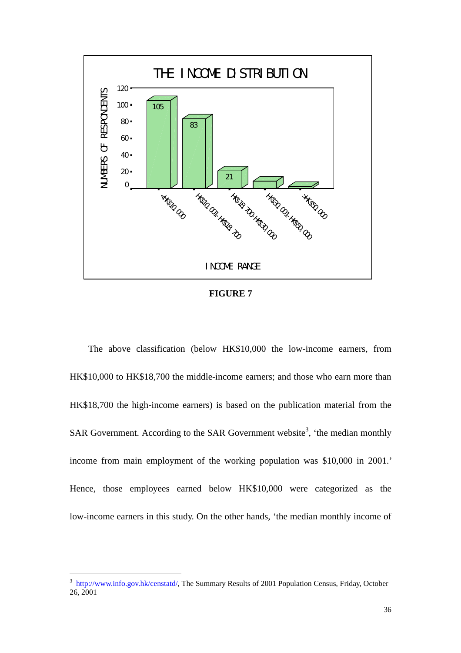

**FIGURE 7**

The above classification (below HK\$10,000 the low-income earners, from HK\$10,000 to HK\$18,700 the middle-income earners; and those who earn more than HK\$18,700 the high-income earners) is based on the publication material from the SAR Government. According to the SAR Government website<sup>3</sup>, 'the median monthly income from main employment of the working population was \$10,000 in 2001.' Hence, those employees earned below HK\$10,000 were categorized as the low-income earners in this study. On the other hands, 'the median monthly income of

 $\overline{a}$ 

<sup>&</sup>lt;sup>3</sup> http://www.info.gov.hk/censtatd/, The Summary Results of 2001 Population Census, Friday, October  $26.2001$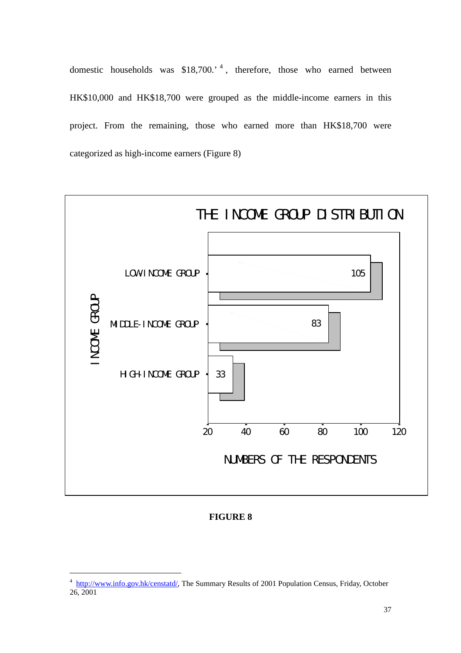domestic households was \$18,700.<sup>4</sup>, therefore, those who earned between HK\$10,000 and HK\$18,700 were grouped as the middle-income earners in this project. From the remaining, those who earned more than HK\$18,700 were categorized as high-income earners (Figure 8)



## **FIGURE 8**

 $\overline{a}$ 

<sup>&</sup>lt;sup>4</sup> http://www.info.gov.hk/censtatd/, The Summary Results of 2001 Population Census, Friday, October  $26.2001$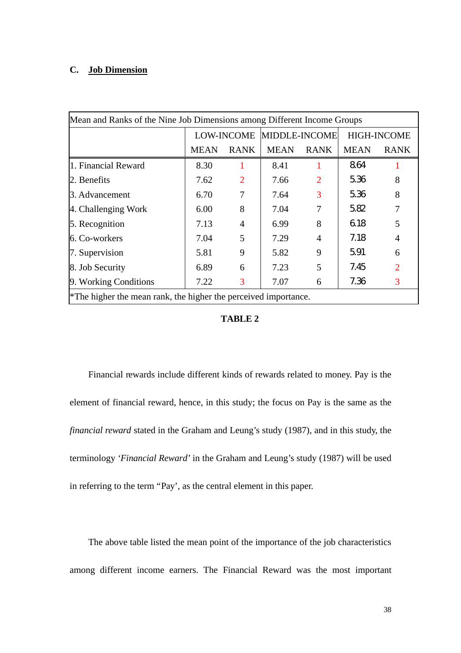## **C. Job Dimension**

| Mean and Ranks of the Nine Job Dimensions among Different Income Groups |                                                                 |                |                          |                          |                    |             |  |  |  |  |  |  |
|-------------------------------------------------------------------------|-----------------------------------------------------------------|----------------|--------------------------|--------------------------|--------------------|-------------|--|--|--|--|--|--|
|                                                                         |                                                                 |                | LOW-INCOME MIDDLE-INCOME |                          | <b>HIGH-INCOME</b> |             |  |  |  |  |  |  |
|                                                                         | <b>MEAN</b>                                                     | <b>RANK</b>    | <b>MEAN</b>              | <b>RANK</b>              | <b>MEAN</b>        | <b>RANK</b> |  |  |  |  |  |  |
| 1. Financial Reward                                                     | 8.30                                                            | 1              | 8.41                     |                          | 864                |             |  |  |  |  |  |  |
| 2. Benefits                                                             | 7.62                                                            | $\overline{2}$ | 7.66                     | $\overline{2}$           | 536                | 8           |  |  |  |  |  |  |
| 3. Advancement                                                          | 6.70                                                            | 7              | 7.64                     | 3                        | 536                | 8           |  |  |  |  |  |  |
| 4. Challenging Work                                                     | 6.00                                                            | 8              | 7.04                     | 7                        | 582                | 7           |  |  |  |  |  |  |
| 5. Recognition                                                          | 7.13                                                            | 4              | 6.99                     | 8                        | 618                | 5           |  |  |  |  |  |  |
| 6. Co-workers                                                           | 7.04                                                            | 5              | 7.29                     | 4                        | 7.18               | 4           |  |  |  |  |  |  |
| 7. Supervision                                                          | 5.81                                                            | 9              | 5.82                     | 9                        | 591                | 6           |  |  |  |  |  |  |
| 8. Job Security                                                         | 6.89                                                            | 6              | 7.23                     | $\overline{\phantom{0}}$ | 7.45               | 2           |  |  |  |  |  |  |
| 9. Working Conditions                                                   | 7.22                                                            | 3              | 7.07                     | 6                        | 7.36               | 3           |  |  |  |  |  |  |
|                                                                         | *The higher the mean rank, the higher the perceived importance. |                |                          |                          |                    |             |  |  |  |  |  |  |

## **TABLE 2**

Financial rewards include different kinds of rewards related to money. Pay is the element of financial reward, hence, in this study; the focus on Pay is the same as the *financial reward* stated in the Graham and Leung's study (1987), and in this study, the terminology *'Financial Reward*' in the Graham and Leung's study (1987) will be used in referring to the term "Pay', as the central element in this paper.

The above table listed the mean point of the importance of the job characteristics among different income earners. The Financial Reward was the most important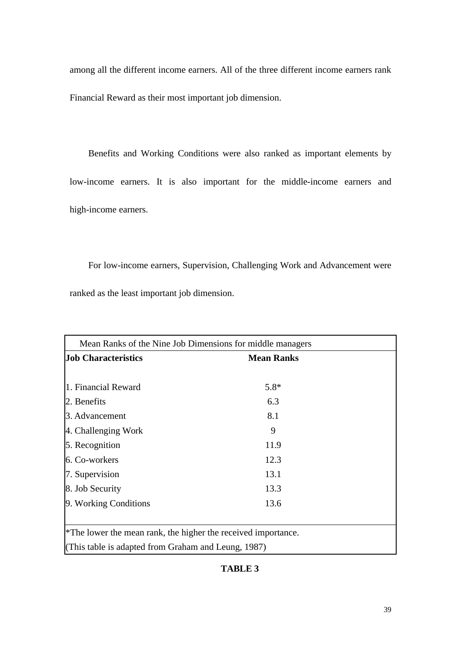among all the different income earners. All of the three different income earners rank Financial Reward as their most important job dimension.

Benefits and Working Conditions were also ranked as important elements by low-income earners. It is also important for the middle-income earners and high-income earners.

For low-income earners, Supervision, Challenging Work and Advancement were ranked as the least important job dimension.

| Mean Ranks of the Nine Job Dimensions for middle managers                 |        |  |
|---------------------------------------------------------------------------|--------|--|
| <b>Job Characteristics</b>                                                |        |  |
|                                                                           |        |  |
| 1. Financial Reward                                                       | $5.8*$ |  |
| 2. Benefits                                                               | 6.3    |  |
| 3. Advancement                                                            | 8.1    |  |
| 4. Challenging Work                                                       | 9      |  |
| 5. Recognition                                                            | 11.9   |  |
| 6. Co-workers                                                             | 12.3   |  |
| 7. Supervision                                                            | 13.1   |  |
| 8. Job Security                                                           | 13.3   |  |
| 9. Working Conditions                                                     | 13.6   |  |
|                                                                           |        |  |
| <sup>*</sup> The lower the mean rank, the higher the received importance. |        |  |
| (This table is adapted from Graham and Leung, 1987)                       |        |  |

## **TABLE 3**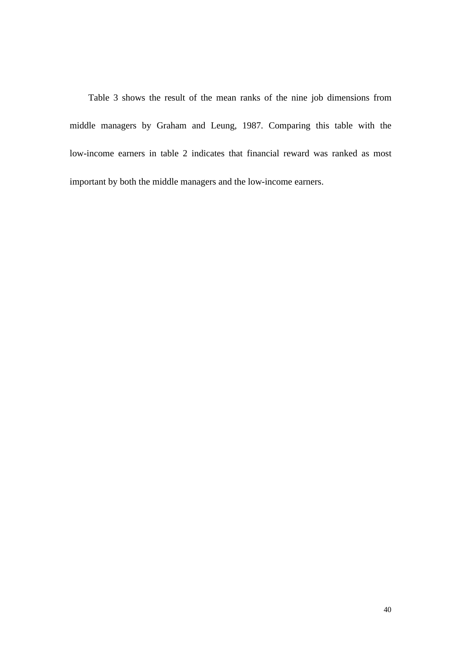Table 3 shows the result of the mean ranks of the nine job dimensions from middle managers by Graham and Leung, 1987. Comparing this table with the low-income earners in table 2 indicates that financial reward was ranked as most important by both the middle managers and the low-income earners.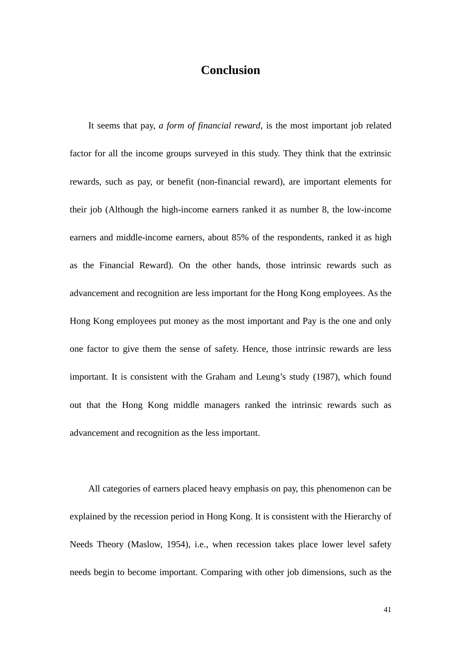## **Conclusion**

It seems that pay, *a form of financial reward*, is the most important job related factor for all the income groups surveyed in this study. They think that the extrinsic rewards, such as pay, or benefit (non-financial reward), are important elements for their job (Although the high-income earners ranked it as number 8, the low-income earners and middle-income earners, about 85% of the respondents, ranked it as high as the Financial Reward). On the other hands, those intrinsic rewards such as advancement and recognition are less important for the Hong Kong employees. As the Hong Kong employees put money as the most important and Pay is the one and only one factor to give them the sense of safety. Hence, those intrinsic rewards are less important. It is consistent with the Graham and Leung's study (1987), which found out that the Hong Kong middle managers ranked the intrinsic rewards such as advancement and recognition as the less important.

All categories of earners placed heavy emphasis on pay, this phenomenon can be explained by the recession period in Hong Kong. It is consistent with the Hierarchy of Needs Theory (Maslow, 1954), i.e., when recession takes place lower level safety needs begin to become important. Comparing with other job dimensions, such as the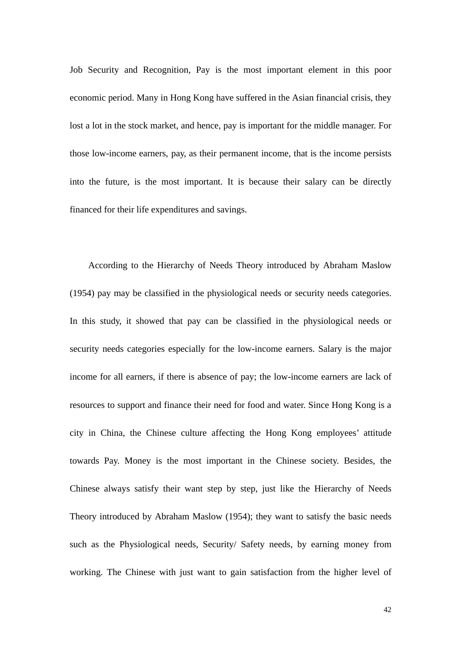Job Security and Recognition, Pay is the most important element in this poor economic period. Many in Hong Kong have suffered in the Asian financial crisis, they lost a lot in the stock market, and hence, pay is important for the middle manager. For those low-income earners, pay, as their permanent income, that is the income persists into the future, is the most important. It is because their salary can be directly financed for their life expenditures and savings.

According to the Hierarchy of Needs Theory introduced by Abraham Maslow (1954) pay may be classified in the physiological needs or security needs categories. In this study, it showed that pay can be classified in the physiological needs or security needs categories especially for the low-income earners. Salary is the major income for all earners, if there is absence of pay; the low-income earners are lack of resources to support and finance their need for food and water. Since Hong Kong is a city in China, the Chinese culture affecting the Hong Kong employees' attitude towards Pay. Money is the most important in the Chinese society. Besides, the Chinese always satisfy their want step by step, just like the Hierarchy of Needs Theory introduced by Abraham Maslow (1954); they want to satisfy the basic needs such as the Physiological needs, Security/ Safety needs, by earning money from working. The Chinese with just want to gain satisfaction from the higher level of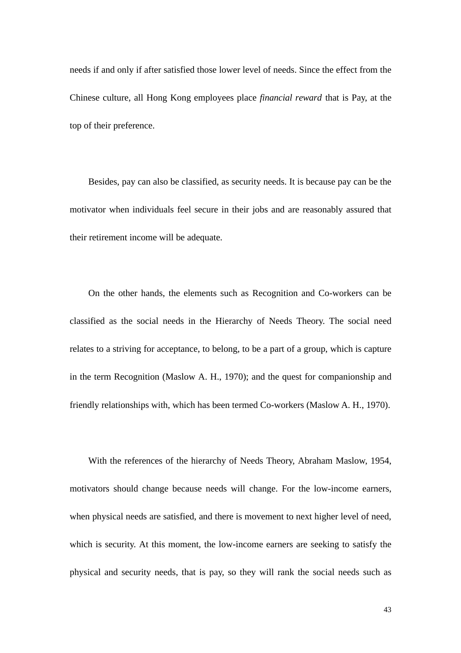needs if and only if after satisfied those lower level of needs. Since the effect from the Chinese culture, all Hong Kong employees place *financial reward* that is Pay, at the top of their preference.

Besides, pay can also be classified, as security needs. It is because pay can be the motivator when individuals feel secure in their jobs and are reasonably assured that their retirement income will be adequate.

On the other hands, the elements such as Recognition and Co-workers can be classified as the social needs in the Hierarchy of Needs Theory. The social need relates to a striving for acceptance, to belong, to be a part of a group, which is capture in the term Recognition (Maslow A. H., 1970); and the quest for companionship and friendly relationships with, which has been termed Co-workers (Maslow A. H., 1970).

With the references of the hierarchy of Needs Theory, Abraham Maslow, 1954, motivators should change because needs will change. For the low-income earners, when physical needs are satisfied, and there is movement to next higher level of need, which is security. At this moment, the low-income earners are seeking to satisfy the physical and security needs, that is pay, so they will rank the social needs such as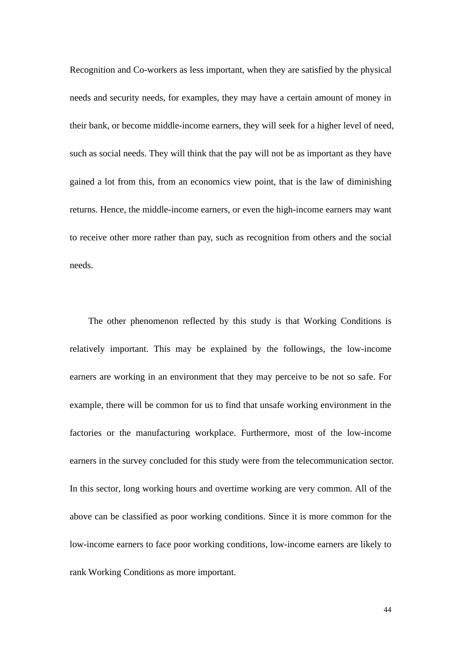Recognition and Co-workers as less important, when they are satisfied by the physical needs and security needs, for examples, they may have a certain amount of money in their bank, or become middle-income earners, they will seek for a higher level of need, such as social needs. They will think that the pay will not be as important as they have gained a lot from this, from an economics view point, that is the law of diminishing returns. Hence, the middle-income earners, or even the high-income earners may want to receive other more rather than pay, such as recognition from others and the social needs.

The other phenomenon reflected by this study is that Working Conditions is relatively important. This may be explained by the followings, the low-income earners are working in an environment that they may perceive to be not so safe. For example, there will be common for us to find that unsafe working environment in the factories or the manufacturing workplace. Furthermore, most of the low-income earners in the survey concluded for this study were from the telecommunication sector. In this sector, long working hours and overtime working are very common. All of the above can be classified as poor working conditions. Since it is more common for the low-income earners to face poor working conditions, low-income earners are likely to rank Working Conditions as more important.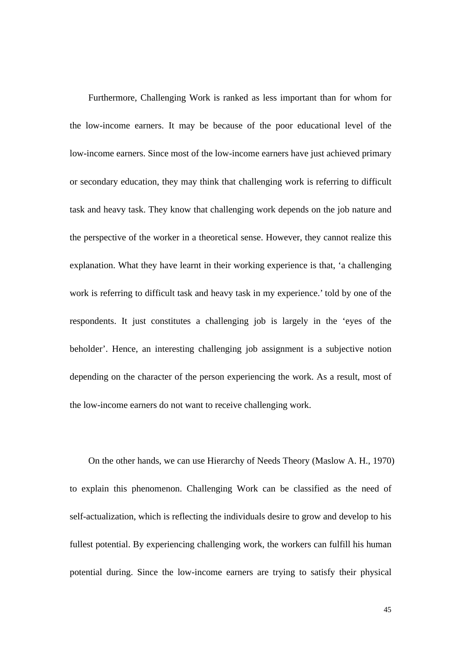Furthermore, Challenging Work is ranked as less important than for whom for the low-income earners. It may be because of the poor educational level of the low-income earners. Since most of the low-income earners have just achieved primary or secondary education, they may think that challenging work is referring to difficult task and heavy task. They know that challenging work depends on the job nature and the perspective of the worker in a theoretical sense. However, they cannot realize this explanation. What they have learnt in their working experience is that, 'a challenging work is referring to difficult task and heavy task in my experience.' told by one of the respondents. It just constitutes a challenging job is largely in the 'eyes of the beholder'. Hence, an interesting challenging job assignment is a subjective notion depending on the character of the person experiencing the work. As a result, most of the low-income earners do not want to receive challenging work.

On the other hands, we can use Hierarchy of Needs Theory (Maslow A. H., 1970) to explain this phenomenon. Challenging Work can be classified as the need of self-actualization, which is reflecting the individuals desire to grow and develop to his fullest potential. By experiencing challenging work, the workers can fulfill his human potential during. Since the low-income earners are trying to satisfy their physical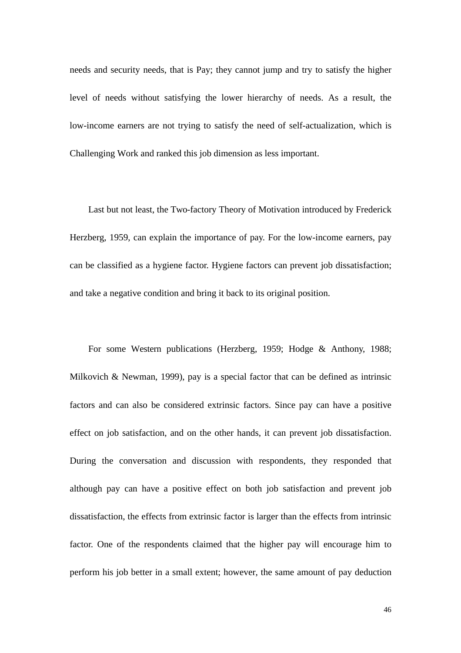needs and security needs, that is Pay; they cannot jump and try to satisfy the higher level of needs without satisfying the lower hierarchy of needs. As a result, the low-income earners are not trying to satisfy the need of self-actualization, which is Challenging Work and ranked this job dimension as less important.

Last but not least, the Two-factory Theory of Motivation introduced by Frederick Herzberg, 1959, can explain the importance of pay. For the low-income earners, pay can be classified as a hygiene factor. Hygiene factors can prevent job dissatisfaction; and take a negative condition and bring it back to its original position.

For some Western publications (Herzberg, 1959; Hodge & Anthony, 1988; Milkovich & Newman, 1999), pay is a special factor that can be defined as intrinsic factors and can also be considered extrinsic factors. Since pay can have a positive effect on job satisfaction, and on the other hands, it can prevent job dissatisfaction. During the conversation and discussion with respondents, they responded that although pay can have a positive effect on both job satisfaction and prevent job dissatisfaction, the effects from extrinsic factor is larger than the effects from intrinsic factor. One of the respondents claimed that the higher pay will encourage him to perform his job better in a small extent; however, the same amount of pay deduction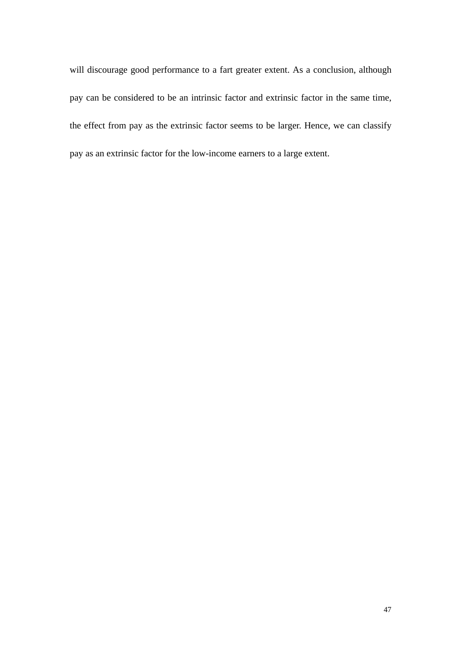will discourage good performance to a fart greater extent. As a conclusion, although pay can be considered to be an intrinsic factor and extrinsic factor in the same time, the effect from pay as the extrinsic factor seems to be larger. Hence, we can classify pay as an extrinsic factor for the low-income earners to a large extent.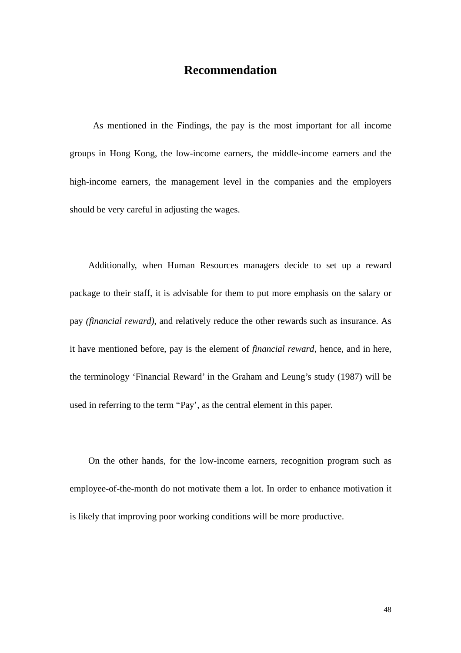## **Recommendation**

 As mentioned in the Findings, the pay is the most important for all income groups in Hong Kong, the low-income earners, the middle-income earners and the high-income earners, the management level in the companies and the employers should be very careful in adjusting the wages.

Additionally, when Human Resources managers decide to set up a reward package to their staff, it is advisable for them to put more emphasis on the salary or pay *(financial reward)*, and relatively reduce the other rewards such as insurance. As it have mentioned before, pay is the element of *financial reward*, hence, and in here, the terminology 'Financial Reward' in the Graham and Leung's study (1987) will be used in referring to the term "Pay', as the central element in this paper.

On the other hands, for the low-income earners, recognition program such as employee-of-the-month do not motivate them a lot. In order to enhance motivation it is likely that improving poor working conditions will be more productive.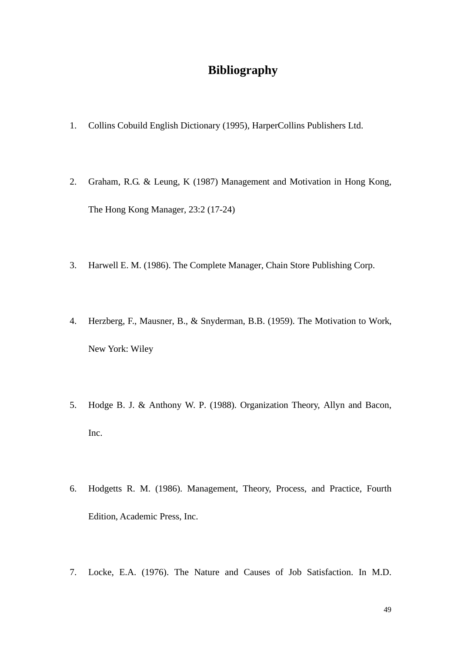## **Bibliography**

- 1. Collins Cobuild English Dictionary (1995), HarperCollins Publishers Ltd.
- 2. Graham, R.G. & Leung, K (1987) Management and Motivation in Hong Kong, The Hong Kong Manager, 23:2 (17-24)
- 3. Harwell E. M. (1986). The Complete Manager, Chain Store Publishing Corp.
- 4. Herzberg, F., Mausner, B., & Snyderman, B.B. (1959). The Motivation to Work, New York: Wiley
- 5. Hodge B. J. & Anthony W. P. (1988). Organization Theory, Allyn and Bacon, Inc.
- 6. Hodgetts R. M. (1986). Management, Theory, Process, and Practice, Fourth Edition, Academic Press, Inc.
- 7. Locke, E.A. (1976). The Nature and Causes of Job Satisfaction. In M.D.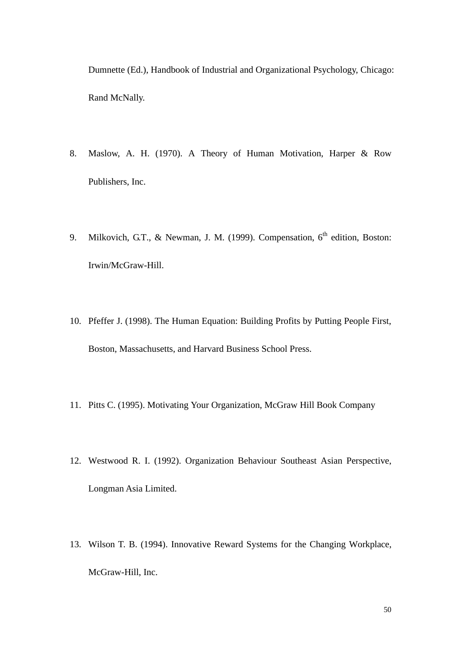Dumnette (Ed.), Handbook of Industrial and Organizational Psychology, Chicago: Rand McNally.

- 8. Maslow, A. H. (1970). A Theory of Human Motivation, Harper & Row Publishers, Inc.
- 9. Milkovich, G.T., & Newman, J. M. (1999). Compensation, 6<sup>th</sup> edition, Boston: Irwin/McGraw-Hill.
- 10. Pfeffer J. (1998). The Human Equation: Building Profits by Putting People First, Boston, Massachusetts, and Harvard Business School Press.
- 11. Pitts C. (1995). Motivating Your Organization, McGraw Hill Book Company
- 12. Westwood R. I. (1992). Organization Behaviour Southeast Asian Perspective, Longman Asia Limited.
- 13. Wilson T. B. (1994). Innovative Reward Systems for the Changing Workplace, McGraw-Hill, Inc.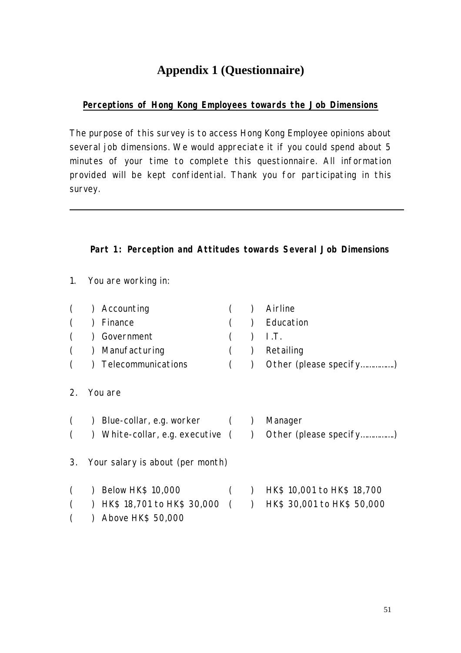## **Appendix 1 (Questionnaire)**

## *Perceptions of Hong Kong Employees towards the Job Dimensions*

The purpose of this survey is to access Hong Kong Employee opinions about several job dimensions. We would appreciate it if you could spend about 5 minutes of your time to complete this questionnaire. All information provided will be kept confidential. Thank you for participating in this survey.

## **Part 1: Perception and Attitudes towards Several Job Dimensions**

1. You are working in:

|    | Accounting                       |                          | Airline                                                     |
|----|----------------------------------|--------------------------|-------------------------------------------------------------|
|    | Finance                          |                          | Education                                                   |
|    | Government                       |                          | LT.                                                         |
|    | Manufacturing                    |                          | Retailing                                                   |
|    | Telecommunications               |                          | Other (please specify)                                      |
| 2. | You are                          |                          |                                                             |
|    | Blue-collar, e.g. worker ()      |                          | Manager                                                     |
|    |                                  |                          | ) White-collar, e.g. executive $($ ) Other (please specify) |
| 3. | Your salary is about (per month) |                          |                                                             |
|    | Below HK\$ 10,000                | $\overline{\phantom{a}}$ | HK\$ 10,001 to HK\$ 18,700                                  |
|    | $HK$ 18,701$ to $HK$ 30,000$ ( ) |                          | HK\$ 30,001 to HK\$ 50,000                                  |
|    | Above HK\$ 50,000                |                          |                                                             |
|    |                                  |                          |                                                             |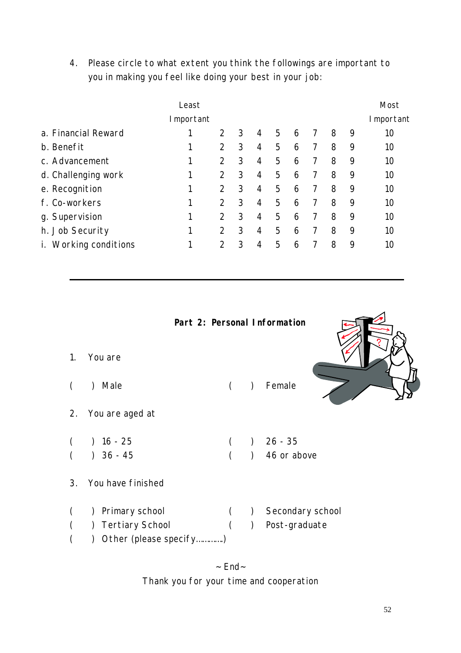4. Please circle to what extent you think the followings are important to you in making you feel like doing your best in your job:

|                                    |   | Most          |   |   |   |   |   |   |   |    |  |  |
|------------------------------------|---|---------------|---|---|---|---|---|---|---|----|--|--|
| I mportant                         |   |               |   |   |   |   |   |   |   |    |  |  |
| a. Financial Reward                |   | $\mathcal{P}$ | 3 | 4 | 5 | 6 |   | 8 | 9 | 10 |  |  |
| b. Benefit                         | 1 | 2             | 3 | 4 | 5 | 6 | 7 | 8 | 9 | 10 |  |  |
| c. Advancement                     | 1 | 2             | 3 | 4 | 5 | 6 |   | 8 | 9 | 10 |  |  |
| d. Challenging work                | 1 | $\mathcal{P}$ | 3 | 4 | 5 | 6 | 7 | 8 | 9 | 10 |  |  |
| e. Recognition                     | 1 | 2             | 3 | 4 | 5 | 6 | 7 | 8 | 9 | 10 |  |  |
| f. Co-workers                      | 1 | $\mathcal{P}$ | 3 | 4 | 5 | 6 | 7 | 8 | 9 | 10 |  |  |
| g. Supervision                     | 1 | $\mathcal{P}$ | 3 | 4 | 5 | 6 | 7 | 8 | 9 | 10 |  |  |
| h. Job Security                    | 1 | 2             | 3 | 4 | 5 | 6 | 7 | 8 | 9 | 10 |  |  |
| Working conditions<br>$\mathbf{L}$ | 1 | $\mathcal{P}$ | 3 | 4 | 5 | 6 | 7 | 8 | 9 | 10 |  |  |



 $~$  End $~$ Thank you for your time and cooperation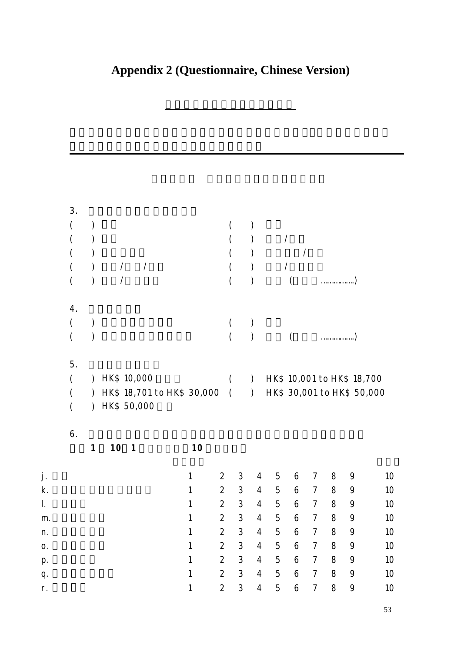# **Appendix 2 (Questionnaire, Chinese Version)**

香港僱員對各種工作因素的看法

|    | 3.<br>(<br>(<br>(<br>(<br>( | $\mathcal{C}$                               |    | $\overline{\phantom{a}}$<br>$\overline{\phantom{a}}$ |                            |              |                 |                |                                |                 | $\overline{\phantom{a}}$ |                |   |                                                          |    |
|----|-----------------------------|---------------------------------------------|----|------------------------------------------------------|----------------------------|--------------|-----------------|----------------|--------------------------------|-----------------|--------------------------|----------------|---|----------------------------------------------------------|----|
|    | 4.<br>(<br>(                |                                             |    |                                                      |                            |              | $\left($        |                |                                |                 |                          |                |   |                                                          |    |
|    | 5.<br>(<br>(<br>(           | $\mathcal{L}$<br>$\mathcal{L}$<br>$\lambda$ |    | HK\$ 10,000<br>HK\$ 50,000                           | HK\$ 18,701 to HK\$ 30,000 |              | (<br>$\sqrt{ }$ |                | $\mathcal{L}$<br>$\mathcal{L}$ |                 |                          |                |   | HK\$ 10,001 to HK\$ 18,700<br>HK\$ 30,001 to HK\$ 50,000 |    |
|    | 6.                          | $\boldsymbol{\mathcal{I}}$                  | 10 | 1                                                    |                            | 10           |                 |                |                                |                 |                          |                |   |                                                          |    |
| j. |                             |                                             |    |                                                      |                            | 1            | 2               | 3              | 4                              | 5               | 6                        | 7              | 8 | 9                                                        | 10 |
| k. |                             |                                             |    |                                                      |                            | 1            | $\overline{2}$  | $\sqrt{3}$     | 4                              | 5               | 6                        | $\overline{7}$ | 8 | 9                                                        | 10 |
| I. |                             |                                             |    |                                                      |                            | 1            | $\overline{2}$  | 3              | $\overline{4}$                 | $5\phantom{.0}$ | 6                        | $\overline{7}$ | 8 | 9                                                        | 10 |
| m. |                             |                                             |    |                                                      |                            | $\mathbf{1}$ | $\overline{2}$  | $\sqrt{3}$     | $\overline{4}$                 | 5               | 6                        | $\overline{7}$ | 8 | 9                                                        | 10 |
| n. |                             |                                             |    |                                                      |                            | $\mathbf{1}$ | $\overline{a}$  | $\mathfrak{S}$ | $\overline{4}$                 | 5               | $\boldsymbol{6}$         | $\overline{7}$ | 8 | 9                                                        | 10 |
| 0. |                             |                                             |    |                                                      |                            | $\mathbf{1}$ | $\overline{a}$  | $\mathsf 3$    | $\overline{4}$                 | 5               | 6                        | $\overline{7}$ | 8 | 9                                                        | 10 |
| p. |                             |                                             |    |                                                      |                            | $\mathbf{1}$ | $\overline{a}$  | 3              | $\overline{4}$                 | 5               | $\boldsymbol{6}$         | $\overline{7}$ | 8 | 9                                                        | 10 |
| q. |                             |                                             |    |                                                      |                            | $\mathbf{1}$ | $\overline{a}$  | $\mathfrak{S}$ | $\overline{4}$                 | 5               | 6                        | $\overline{7}$ | 8 | 9                                                        | 10 |
| r. |                             |                                             |    |                                                      |                            | $\mathbf{1}$ | $\overline{a}$  | 3              | $\overline{4}$                 | 5               | 6                        | $\overline{7}$ | 8 | 9                                                        | 10 |